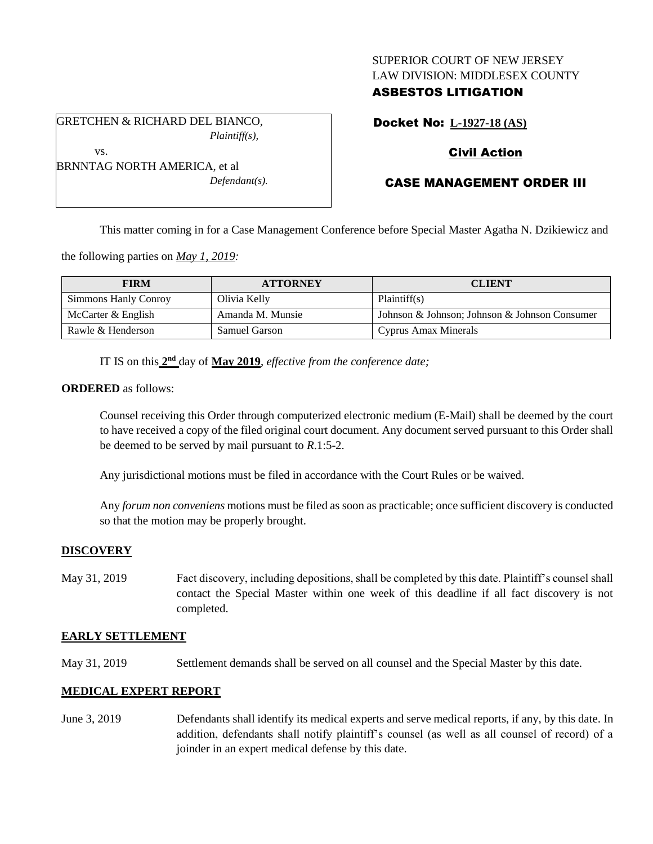## SUPERIOR COURT OF NEW JERSEY LAW DIVISION: MIDDLESEX COUNTY

# ASBESTOS LITIGATION

GRETCHEN & RICHARD DEL BIANCO, *Plaintiff(s),*

*Defendant(s).*

Docket No: **L-1927-18 (AS)**

# Civil Action

# CASE MANAGEMENT ORDER III

This matter coming in for a Case Management Conference before Special Master Agatha N. Dzikiewicz and

the following parties on *May 1, 2019:*

BRNNTAG NORTH AMERICA, et al

| <b>FIRM</b>          | <b>ATTORNEY</b>  | <b>CLIENT</b>                                 |
|----------------------|------------------|-----------------------------------------------|
| Simmons Hanly Conroy | Olivia Kelly     | Plaintiff(s)                                  |
| McCarter $&$ English | Amanda M. Munsie | Johnson & Johnson; Johnson & Johnson Consumer |
| Rawle & Henderson    | Samuel Garson    | Cyprus Amax Minerals                          |

IT IS on this  $2<sup>nd</sup>$  day of May 2019, *effective from the conference date*;

**ORDERED** as follows:

vs.

Counsel receiving this Order through computerized electronic medium (E-Mail) shall be deemed by the court to have received a copy of the filed original court document. Any document served pursuant to this Order shall be deemed to be served by mail pursuant to *R*.1:5-2.

Any jurisdictional motions must be filed in accordance with the Court Rules or be waived.

Any *forum non conveniens* motions must be filed as soon as practicable; once sufficient discovery is conducted so that the motion may be properly brought.

### **DISCOVERY**

May 31, 2019 Fact discovery, including depositions, shall be completed by this date. Plaintiff's counsel shall contact the Special Master within one week of this deadline if all fact discovery is not completed.

### **EARLY SETTLEMENT**

May 31, 2019 Settlement demands shall be served on all counsel and the Special Master by this date.

### **MEDICAL EXPERT REPORT**

June 3, 2019 Defendants shall identify its medical experts and serve medical reports, if any, by this date. In addition, defendants shall notify plaintiff's counsel (as well as all counsel of record) of a joinder in an expert medical defense by this date.